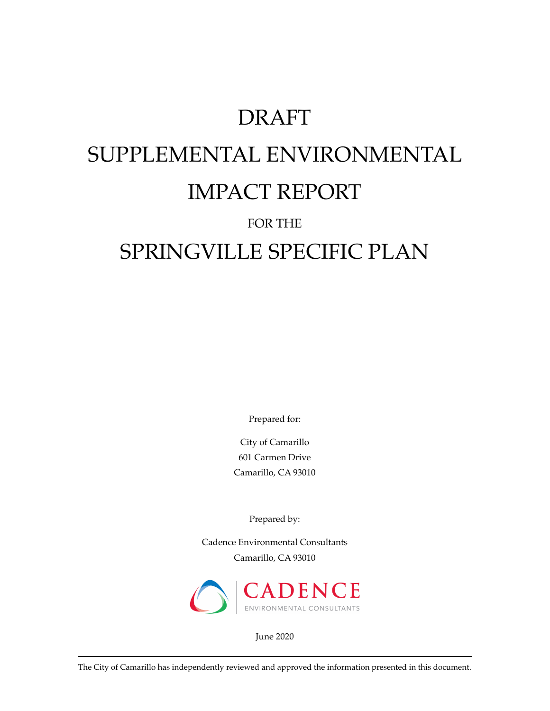# DRAFT SUPPLEMENTAL ENVIRONMENTAL IMPACT REPORT

### FOR THE SPRINGVILLE SPECIFIC PLAN

Prepared for:

City of Camarillo 601 Carmen Drive Camarillo, CA 93010

Prepared by:

Cadence Environmental Consultants Camarillo, CA 93010



June 2020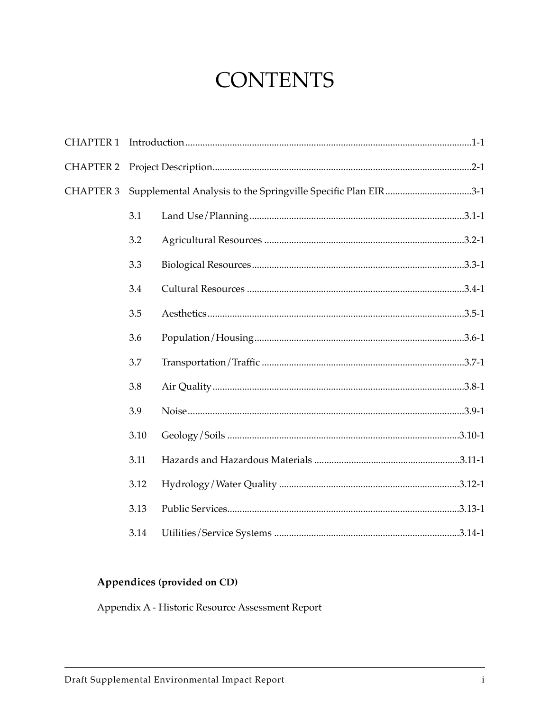### **CONTENTS**

| Supplemental Analysis to the Springville Specific Plan EIR3-1 |  |  |
|---------------------------------------------------------------|--|--|
| 3.1                                                           |  |  |
| 3.2                                                           |  |  |
| 3.3                                                           |  |  |
| 3.4                                                           |  |  |
| 3.5                                                           |  |  |
| 3.6                                                           |  |  |
| 3.7                                                           |  |  |
| 3.8                                                           |  |  |
| 3.9                                                           |  |  |
| 3.10                                                          |  |  |
| 3.11                                                          |  |  |
| 3.12                                                          |  |  |
| 3.13                                                          |  |  |
| 3.14                                                          |  |  |
|                                                               |  |  |

### Appendices (provided on CD)

Appendix A - Historic Resource Assessment Report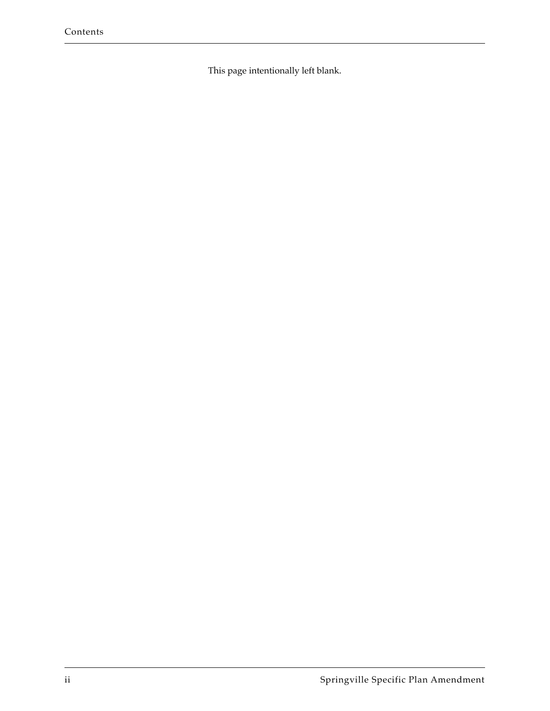This page intentionally left blank.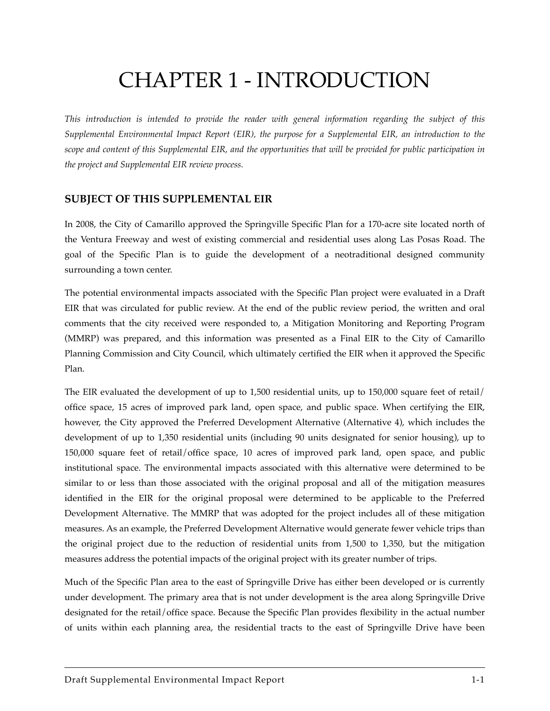## CHAPTER 1 - INTRODUCTION

*This introduction is intended to provide the reader with general information regarding the subject of this Supplemental Environmental Impact Report (EIR), the purpose for a Supplemental EIR, an introduction to the scope and content of this Supplemental EIR, and the opportunities that will be provided for public participation in the project and Supplemental EIR review process.*

#### **SUBJECT OF THIS SUPPLEMENTAL EIR**

In 2008, the City of Camarillo approved the Springville Specific Plan for a 170-acre site located north of the Ventura Freeway and west of existing commercial and residential uses along Las Posas Road. The goal of the Specific Plan is to guide the development of a neotraditional designed community surrounding a town center.

The potential environmental impacts associated with the Specific Plan project were evaluated in a Draft EIR that was circulated for public review. At the end of the public review period, the written and oral comments that the city received were responded to, a Mitigation Monitoring and Reporting Program (MMRP) was prepared, and this information was presented as a Final EIR to the City of Camarillo Planning Commission and City Council, which ultimately certified the EIR when it approved the Specific Plan.

The EIR evaluated the development of up to 1,500 residential units, up to 150,000 square feet of retail/ office space, 15 acres of improved park land, open space, and public space. When certifying the EIR, however, the City approved the Preferred Development Alternative (Alternative 4), which includes the development of up to 1,350 residential units (including 90 units designated for senior housing), up to 150,000 square feet of retail/office space, 10 acres of improved park land, open space, and public institutional space. The environmental impacts associated with this alternative were determined to be similar to or less than those associated with the original proposal and all of the mitigation measures identified in the EIR for the original proposal were determined to be applicable to the Preferred Development Alternative. The MMRP that was adopted for the project includes all of these mitigation measures. As an example, the Preferred Development Alternative would generate fewer vehicle trips than the original project due to the reduction of residential units from 1,500 to 1,350, but the mitigation measures address the potential impacts of the original project with its greater number of trips.

Much of the Specific Plan area to the east of Springville Drive has either been developed or is currently under development. The primary area that is not under development is the area along Springville Drive designated for the retail/office space. Because the Specific Plan provides flexibility in the actual number of units within each planning area, the residential tracts to the east of Springville Drive have been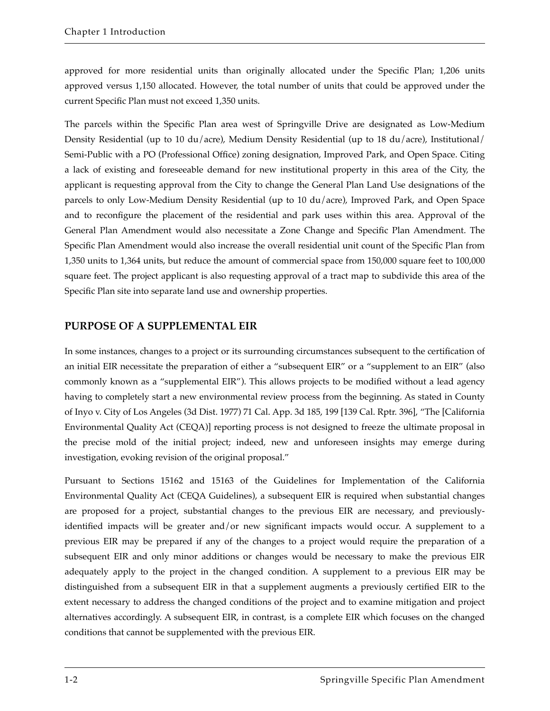approved for more residential units than originally allocated under the Specific Plan; 1,206 units approved versus 1,150 allocated. However, the total number of units that could be approved under the current Specific Plan must not exceed 1,350 units.

The parcels within the Specific Plan area west of Springville Drive are designated as Low-Medium Density Residential (up to 10 du/acre), Medium Density Residential (up to 18 du/acre), Institutional/ Semi-Public with a PO (Professional Office) zoning designation, Improved Park, and Open Space. Citing a lack of existing and foreseeable demand for new institutional property in this area of the City, the applicant is requesting approval from the City to change the General Plan Land Use designations of the parcels to only Low-Medium Density Residential (up to 10 du/acre), Improved Park, and Open Space and to reconfigure the placement of the residential and park uses within this area. Approval of the General Plan Amendment would also necessitate a Zone Change and Specific Plan Amendment. The Specific Plan Amendment would also increase the overall residential unit count of the Specific Plan from 1,350 units to 1,364 units, but reduce the amount of commercial space from 150,000 square feet to 100,000 square feet. The project applicant is also requesting approval of a tract map to subdivide this area of the Specific Plan site into separate land use and ownership properties.

#### **PURPOSE OF A SUPPLEMENTAL EIR**

In some instances, changes to a project or its surrounding circumstances subsequent to the certification of an initial EIR necessitate the preparation of either a "subsequent EIR" or a "supplement to an EIR" (also commonly known as a "supplemental EIR"). This allows projects to be modified without a lead agency having to completely start a new environmental review process from the beginning. As stated in County of Inyo v. City of Los Angeles (3d Dist. 1977) 71 Cal. App. 3d 185, 199 [139 Cal. Rptr. 396], "The [California Environmental Quality Act (CEQA)] reporting process is not designed to freeze the ultimate proposal in the precise mold of the initial project; indeed, new and unforeseen insights may emerge during investigation, evoking revision of the original proposal."

Pursuant to Sections 15162 and 15163 of the Guidelines for Implementation of the California Environmental Quality Act (CEQA Guidelines), a subsequent EIR is required when substantial changes are proposed for a project, substantial changes to the previous EIR are necessary, and previouslyidentified impacts will be greater and/or new significant impacts would occur. A supplement to a previous EIR may be prepared if any of the changes to a project would require the preparation of a subsequent EIR and only minor additions or changes would be necessary to make the previous EIR adequately apply to the project in the changed condition. A supplement to a previous EIR may be distinguished from a subsequent EIR in that a supplement augments a previously certified EIR to the extent necessary to address the changed conditions of the project and to examine mitigation and project alternatives accordingly. A subsequent EIR, in contrast, is a complete EIR which focuses on the changed conditions that cannot be supplemented with the previous EIR.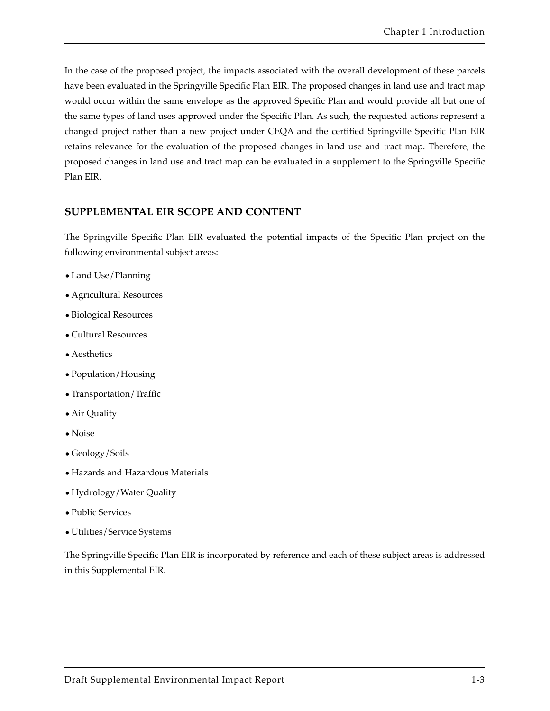In the case of the proposed project, the impacts associated with the overall development of these parcels have been evaluated in the Springville Specific Plan EIR. The proposed changes in land use and tract map would occur within the same envelope as the approved Specific Plan and would provide all but one of the same types of land uses approved under the Specific Plan. As such, the requested actions represent a changed project rather than a new project under CEQA and the certified Springville Specific Plan EIR retains relevance for the evaluation of the proposed changes in land use and tract map. Therefore, the proposed changes in land use and tract map can be evaluated in a supplement to the Springville Specific Plan EIR.

#### **SUPPLEMENTAL EIR SCOPE AND CONTENT**

The Springville Specific Plan EIR evaluated the potential impacts of the Specific Plan project on the following environmental subject areas:

- •Land Use/Planning
- •Agricultural Resources
- •Biological Resources
- Cultural Resources
- •Aesthetics
- •Population/Housing
- •Transportation/Traffic
- •Air Quality
- Noise
- •Geology/Soils
- Hazards and Hazardous Materials
- Hydrology/Water Quality
- •Public Services
- •Utilities/Service Systems

The Springville Specific Plan EIR is incorporated by reference and each of these subject areas is addressed in this Supplemental EIR.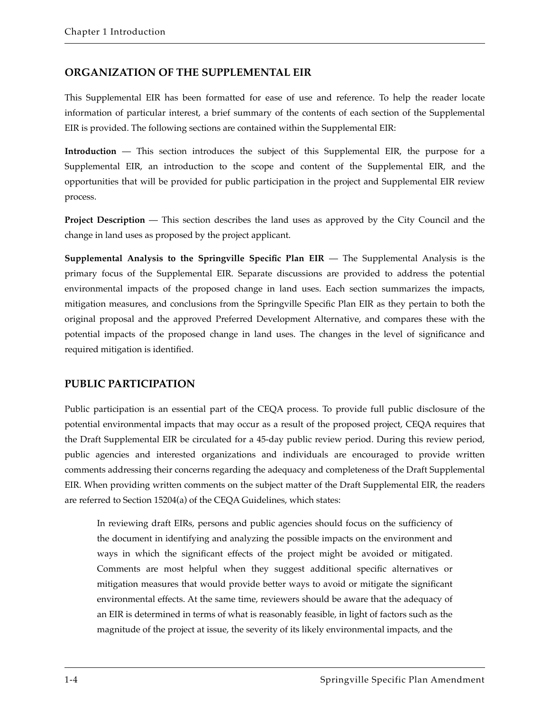#### **ORGANIZATION OF THE SUPPLEMENTAL EIR**

This Supplemental EIR has been formatted for ease of use and reference. To help the reader locate information of particular interest, a brief summary of the contents of each section of the Supplemental EIR is provided. The following sections are contained within the Supplemental EIR:

**Introduction** — This section introduces the subject of this Supplemental EIR, the purpose for a Supplemental EIR, an introduction to the scope and content of the Supplemental EIR, and the opportunities that will be provided for public participation in the project and Supplemental EIR review process.

**Project Description** — This section describes the land uses as approved by the City Council and the change in land uses as proposed by the project applicant.

**Supplemental Analysis to the Springville Specific Plan EIR** — The Supplemental Analysis is the primary focus of the Supplemental EIR. Separate discussions are provided to address the potential environmental impacts of the proposed change in land uses. Each section summarizes the impacts, mitigation measures, and conclusions from the Springville Specific Plan EIR as they pertain to both the original proposal and the approved Preferred Development Alternative, and compares these with the potential impacts of the proposed change in land uses. The changes in the level of significance and required mitigation is identified.

#### **PUBLIC PARTICIPATION**

Public participation is an essential part of the CEQA process. To provide full public disclosure of the potential environmental impacts that may occur as a result of the proposed project, CEQA requires that the Draft Supplemental EIR be circulated for a 45-day public review period. During this review period, public agencies and interested organizations and individuals are encouraged to provide written comments addressing their concerns regarding the adequacy and completeness of the Draft Supplemental EIR. When providing written comments on the subject matter of the Draft Supplemental EIR, the readers are referred to Section 15204(a) of the CEQA Guidelines, which states:

In reviewing draft EIRs, persons and public agencies should focus on the sufficiency of the document in identifying and analyzing the possible impacts on the environment and ways in which the significant effects of the project might be avoided or mitigated. Comments are most helpful when they suggest additional specific alternatives or mitigation measures that would provide better ways to avoid or mitigate the significant environmental effects. At the same time, reviewers should be aware that the adequacy of an EIR is determined in terms of what is reasonably feasible, in light of factors such as the magnitude of the project at issue, the severity of its likely environmental impacts, and the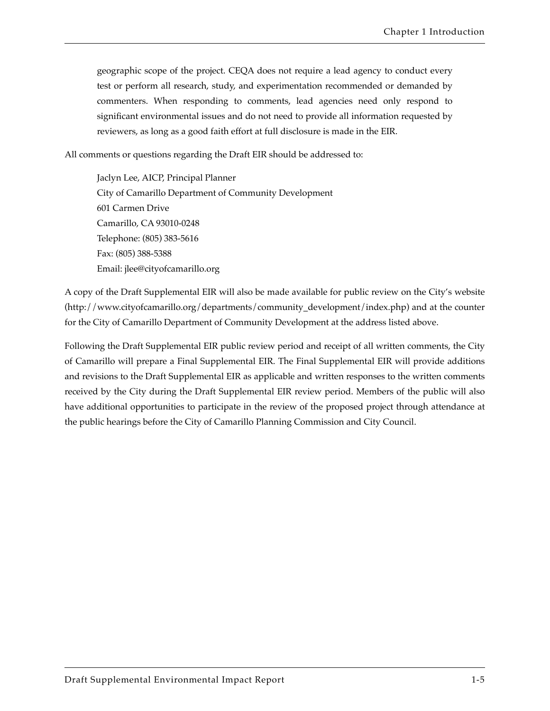geographic scope of the project. CEQA does not require a lead agency to conduct every test or perform all research, study, and experimentation recommended or demanded by commenters. When responding to comments, lead agencies need only respond to significant environmental issues and do not need to provide all information requested by reviewers, as long as a good faith effort at full disclosure is made in the EIR.

All comments or questions regarding the Draft EIR should be addressed to:

Jaclyn Lee, AICP, Principal Planner City of Camarillo Department of Community Development 601 Carmen Drive Camarillo, CA 93010-0248 Telephone: (805) 383-5616 Fax: (805) 388-5388 Email: jlee@cityofcamarillo.org

A copy of the Draft Supplemental EIR will also be made available for public review on the City's website (http://www.cityofcamarillo.org/departments/community\_development/index.php) and at the counter for the City of Camarillo Department of Community Development at the address listed above.

Following the Draft Supplemental EIR public review period and receipt of all written comments, the City of Camarillo will prepare a Final Supplemental EIR. The Final Supplemental EIR will provide additions and revisions to the Draft Supplemental EIR as applicable and written responses to the written comments received by the City during the Draft Supplemental EIR review period. Members of the public will also have additional opportunities to participate in the review of the proposed project through attendance at the public hearings before the City of Camarillo Planning Commission and City Council.